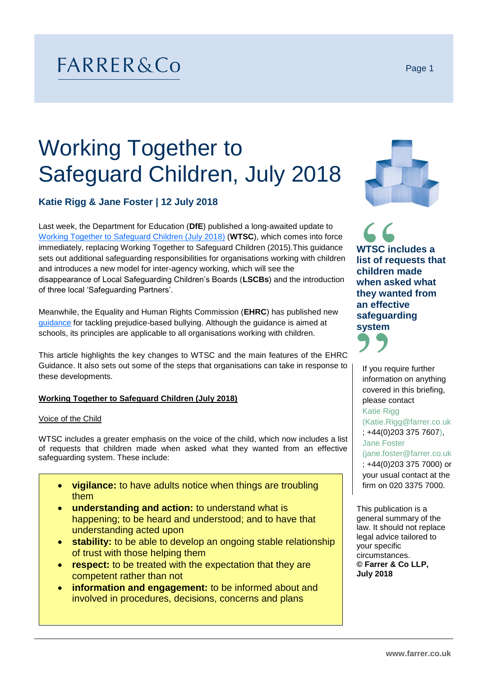## FARRER&Co

# Working Together to Safeguard Children, July 2018

### **Katie Rigg & Jane Foster | 12 July 2018**

Last week, the Department for Education (**DfE**) published a long-awaited update to [Working Together to Safeguard Children \(July 2018\)](https://assets.publishing.service.gov.uk/government/uploads/system/uploads/attachment_data/file/722305/Working_Together_to_Safeguard_Children_-_Guide.pdf) (**WTSC**), which comes into force immediately, replacing Working Together to Safeguard Children (2015).This guidance sets out additional safeguarding responsibilities for organisations working with children and introduces a new model for inter-agency working, which will see the disappearance of Local Safeguarding Children's Boards (**LSCBs**) and the introduction of three local 'Safeguarding Partners'.

Meanwhile, the Equality and Human Rights Commission (**EHRC**) has published new [guidance](https://www.equalityhumanrights.com/en/bullying) for tackling prejudice-based bullying. Although the guidance is aimed at schools, its principles are applicable to all organisations working with children.

This article highlights the key changes to WTSC and the main features of the EHRC Guidance. It also sets out some of the steps that organisations can take in response to these developments.

#### **Working Together to Safeguard Children (July 2018)**

#### Voice of the Child

WTSC includes a greater emphasis on the voice of the child, which now includes a list of requests that children made when asked what they wanted from an effective safeguarding system. These include:

- **vigilance:** to have adults notice when things are troubling them
- **understanding and action:** to understand what is happening; to be heard and understood; and to have that understanding acted upon
- **stability:** to be able to develop an ongoing stable relationship of trust with those helping them
- **respect:** to be treated with the expectation that they are competent rather than not
- **information and engagement:** to be informed about and involved in procedures, decisions, concerns and plans



**WTSC includes a list of requests that children made when asked what they wanted from an effective safeguarding system**



If you require further information on anything covered in this briefing, please contact

#### Katie Rigg

(Katie.Rigg@farrer.co.uk ; +44(0)203 375 7607), Jane Foster

(jane.foster@farrer.co.uk ; +44(0)203 375 7000) or your usual contact at the firm on 020 3375 7000.

This publication is a general summary of the law. It should not replace legal advice tailored to your specific circumstances. **© Farrer & Co LLP, July 2018**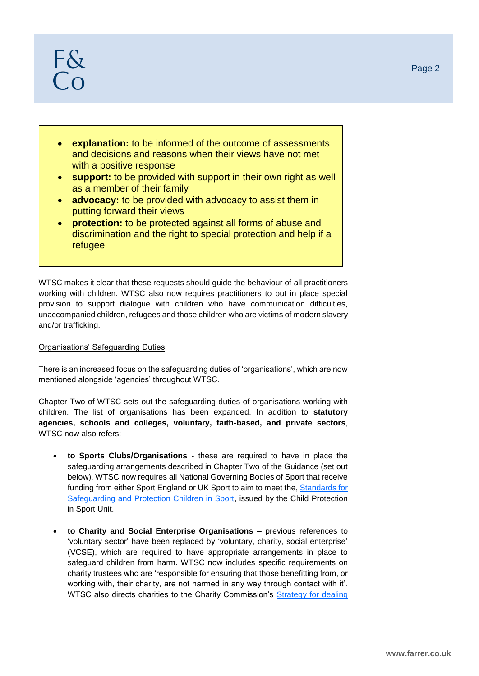- **explanation:** to be informed of the outcome of assessments and decisions and reasons when their views have not met with a positive response
- **support:** to be provided with support in their own right as well as a member of their family
- **advocacy:** to be provided with advocacy to assist them in putting forward their views
- **protection:** to be protected against all forms of abuse and discrimination and the right to special protection and help if a refugee

WTSC makes it clear that these requests should guide the behaviour of all practitioners working with children. WTSC also now requires practitioners to put in place special provision to support dialogue with children who have communication difficulties, unaccompanied children, refugees and those children who are victims of modern slavery and/or trafficking.

#### Organisations' Safeguarding Duties

There is an increased focus on the safeguarding duties of 'organisations', which are now mentioned alongside 'agencies' throughout WTSC.

Chapter Two of WTSC sets out the safeguarding duties of organisations working with children. The list of organisations has been expanded. In addition to **statutory agencies, schools and colleges, voluntary, faith-based, and private sectors**, WTSC now also refers:

- **to Sports Clubs/Organisations** these are required to have in place the safeguarding arrangements described in Chapter Two of the Guidance (set out below). WTSC now requires all National Governing Bodies of Sport that receive funding from either Sport England or UK Sport to aim to meet the[, Standards for](https://thecpsu.org.uk/resource-library/2013/standards-for-safeguarding-and-protecting-children-in-sport/)  [Safeguarding and Protection Children in Sport,](https://thecpsu.org.uk/resource-library/2013/standards-for-safeguarding-and-protecting-children-in-sport/) issued by the Child Protection in Sport Unit.
- **to Charity and Social Enterprise Organisations** previous references to 'voluntary sector' have been replaced by 'voluntary, charity, social enterprise' (VCSE), which are required to have appropriate arrangements in place to safeguard children from harm. WTSC now includes specific requirements on charity trustees who are 'responsible for ensuring that those benefitting from, or working with, their charity, are not harmed in any way through contact with it'. WTSC also directs charities to the Charity Commission's [Strategy for dealing](https://www.gov.uk/government/publications/strategy-for-dealing-with-safeguarding-issues-in-charities)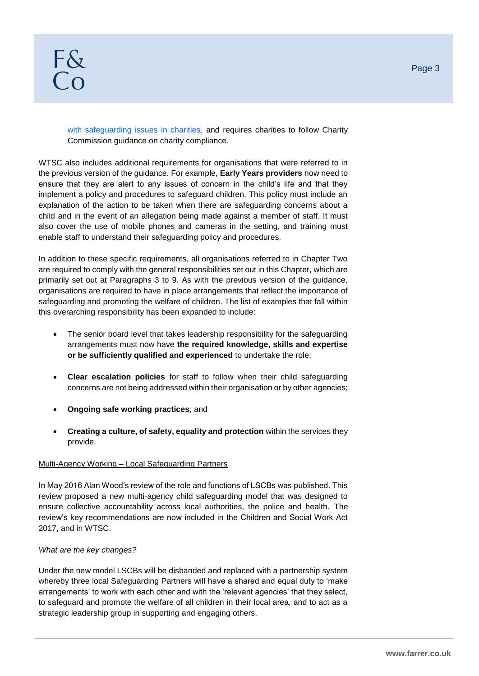[with safeguarding issues in charities,](https://www.gov.uk/government/publications/strategy-for-dealing-with-safeguarding-issues-in-charities) and requires charities to follow Charity Commission guidance on charity compliance.

WTSC also includes additional requirements for organisations that were referred to in the previous version of the guidance. For example, **Early Years providers** now need to ensure that they are alert to any issues of concern in the child's life and that they implement a policy and procedures to safeguard children. This policy must include an explanation of the action to be taken when there are safeguarding concerns about a child and in the event of an allegation being made against a member of staff. It must also cover the use of mobile phones and cameras in the setting, and training must enable staff to understand their safeguarding policy and procedures.

In addition to these specific requirements, all organisations referred to in Chapter Two are required to comply with the general responsibilities set out in this Chapter, which are primarily set out at Paragraphs 3 to 9. As with the previous version of the guidance, organisations are required to have in place arrangements that reflect the importance of safeguarding and promoting the welfare of children. The list of examples that fall within this overarching responsibility has been expanded to include:

- The senior board level that takes leadership responsibility for the safeguarding arrangements must now have **the required knowledge, skills and expertise or be sufficiently qualified and experienced** to undertake the role;
- **Clear escalation policies** for staff to follow when their child safeguarding concerns are not being addressed within their organisation or by other agencies;
- **Ongoing safe working practices**; and
- **Creating a culture, of safety, equality and protection** within the services they provide.

#### Multi-Agency Working – Local Safeguarding Partners

In May 2016 Alan Wood's review of the role and functions of LSCBs was published. This review proposed a new multi-agency child safeguarding model that was designed to ensure collective accountability across local authorities, the police and health. The review's key recommendations are now included in the Children and Social Work Act 2017, and in WTSC.

#### *What are the key changes?*

Under the new model LSCBs will be disbanded and replaced with a partnership system whereby three local Safeguarding Partners will have a shared and equal duty to 'make arrangements' to work with each other and with the 'relevant agencies' that they select, to safeguard and promote the welfare of all children in their local area, and to act as a strategic leadership group in supporting and engaging others.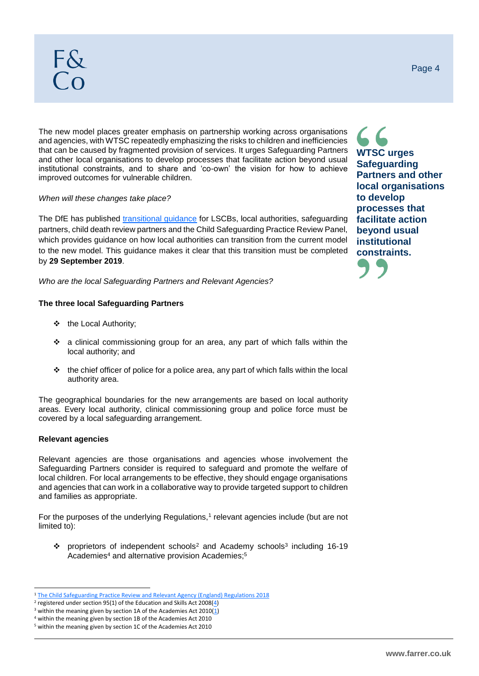The new model places greater emphasis on partnership working across organisations and agencies, with WTSC repeatedly emphasizing the risks to children and inefficiencies that can be caused by fragmented provision of services. It urges Safeguarding Partners and other local organisations to develop processes that facilitate action beyond usual institutional constraints, and to share and 'co-own' the vision for how to achieve improved outcomes for vulnerable children.

#### *When will these changes take place?*

The DfE has published [transitional guidance](https://assets.publishing.service.gov.uk/government/uploads/system/uploads/attachment_data/file/722306/Working_Together-transitional_guidance.pdf) for LSCBs, local authorities, safeguarding partners, child death review partners and the Child Safeguarding Practice Review Panel, which provides guidance on how local authorities can transition from the current model to the new model. This guidance makes it clear that this transition must be completed by **29 September 2019**.

*Who are the local Safeguarding Partners and Relevant Agencies?*

#### **The three local Safeguarding Partners**

- ❖ the Local Authority;
- ❖ a clinical commissioning group for an area, any part of which falls within the local authority; and
- $\cdot \cdot$  the chief officer of police for a police area, any part of which falls within the local authority area.

The geographical boundaries for the new arrangements are based on local authority areas. Every local authority, clinical commissioning group and police force must be covered by a local safeguarding arrangement.

#### **Relevant agencies**

l

Relevant agencies are those organisations and agencies whose involvement the Safeguarding Partners consider is required to safeguard and promote the welfare of local children. For local arrangements to be effective, they should engage organisations and agencies that can work in a collaborative way to provide targeted support to children and families as appropriate.

For the purposes of the underlying Regulations,<sup>1</sup> relevant agencies include (but are not limited to):

❖ proprietors of independent schools<sup>2</sup> and Academy schools<sup>3</sup> including 16-19 Academies<sup>4</sup> and alternative provision Academies;<sup>5</sup>

**WTSC urges Safeguarding Partners and other local organisations to develop processes that facilitate action beyond usual institutional constraints.**



<sup>1</sup> [The Child Safeguarding Practice Review and Relevant Agency \(England\) Regulations 2018](http://www.legislation.gov.uk/uksi/2018/789/contents/made)

<sup>&</sup>lt;sup>2</sup> registered under section 95(1) of the Education and Skills Act 2008( $\frac{4}{3}$ )

<sup>&</sup>lt;sup>3</sup> within the meaning given by section 1A of the Academies Act 2010( $\underline{1}$ )

<sup>4</sup> within the meaning given by section 1B of the Academies Act 2010 <sup>5</sup> within the meaning given by section 1C of the Academies Act 2010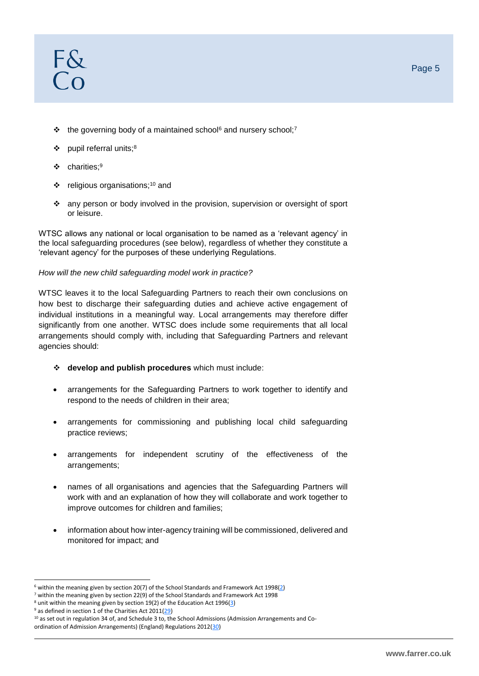- ❖ the governing body of a maintained school<sup>6</sup> and nursery school;<sup>7</sup>
- pupil referral units;<sup>8</sup>
- ❖ charities;<sup>9</sup>
- $\div$  religious organisations;<sup>10</sup> and
- ❖ any person or body involved in the provision, supervision or oversight of sport or leisure.

WTSC allows any national or local organisation to be named as a 'relevant agency' in the local safeguarding procedures (see below), regardless of whether they constitute a 'relevant agency' for the purposes of these underlying Regulations.

#### *How will the new child safeguarding model work in practice?*

WTSC leaves it to the local Safeguarding Partners to reach their own conclusions on how best to discharge their safeguarding duties and achieve active engagement of individual institutions in a meaningful way. Local arrangements may therefore differ significantly from one another. WTSC does include some requirements that all local arrangements should comply with, including that Safeguarding Partners and relevant agencies should:

- ❖ **develop and publish procedures** which must include:
- arrangements for the Safeguarding Partners to work together to identify and respond to the needs of children in their area;
- arrangements for commissioning and publishing local child safeguarding practice reviews;
- arrangements for independent scrutiny of the effectiveness of the arrangements;
- names of all organisations and agencies that the Safeguarding Partners will work with and an explanation of how they will collaborate and work together to improve outcomes for children and families;
- information about how inter-agency training will be commissioned, delivered and monitored for impact; and

l

 $6$  within the meaning given by section 20(7) of the School Standards and Framework Act 1998( $2$ )

 $7$  within the meaning given by section 22(9) of the School Standards and Framework Act 1998

<sup>&</sup>lt;sup>8</sup> unit within the meaning given by section 19(2) of the Education Act 1996[\(3\)](http://www.legislation.gov.uk/uksi/2018/789/schedule/made#f00007)

<sup>&</sup>lt;sup>9</sup> as defined in section 1 of the Charities Act 2011[\(29\)](http://www.legislation.gov.uk/uksi/2018/789/schedule/made#f00033)

<sup>&</sup>lt;sup>10</sup> as set out in regulation 34 of, and Schedule 3 to, the School Admissions (Admission Arrangements and Co-ordination of Admission Arrangements) (England) Regulations 2012[\(30\)](http://www.legislation.gov.uk/uksi/2018/789/schedule/made#f00034)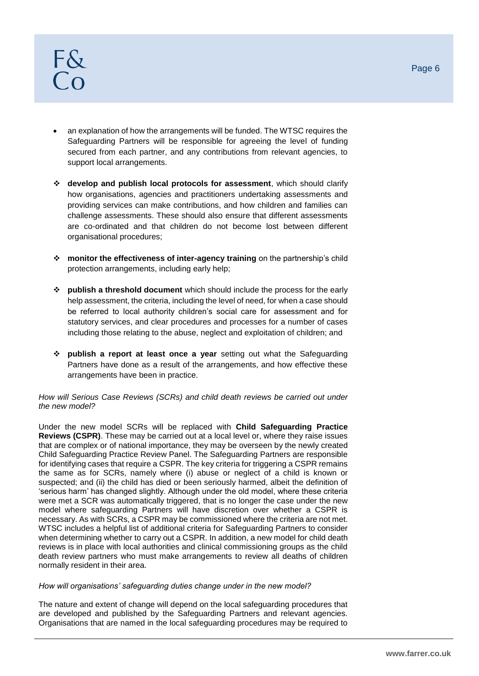- an explanation of how the arrangements will be funded. The WTSC requires the Safeguarding Partners will be responsible for agreeing the level of funding secured from each partner, and any contributions from relevant agencies, to support local arrangements.
- ❖ **develop and publish local protocols for assessment**, which should clarify how organisations, agencies and practitioners undertaking assessments and providing services can make contributions, and how children and families can challenge assessments. These should also ensure that different assessments are co-ordinated and that children do not become lost between different organisational procedures;
- ❖ **monitor the effectiveness of inter-agency training** on the partnership's child protection arrangements, including early help;
- ❖ **publish a threshold document** which should include the process for the early help assessment, the criteria, including the level of need, for when a case should be referred to local authority children's social care for assessment and for statutory services, and clear procedures and processes for a number of cases including those relating to the abuse, neglect and exploitation of children; and
- ❖ **publish a report at least once a year** setting out what the Safeguarding Partners have done as a result of the arrangements, and how effective these arrangements have been in practice.

#### *How will Serious Case Reviews (SCRs) and child death reviews be carried out under the new model?*

Under the new model SCRs will be replaced with **Child Safeguarding Practice Reviews (CSPR)**. These may be carried out at a local level or, where they raise issues that are complex or of national importance, they may be overseen by the newly created Child Safeguarding Practice Review Panel. The Safeguarding Partners are responsible for identifying cases that require a CSPR. The key criteria for triggering a CSPR remains the same as for SCRs, namely where (i) abuse or neglect of a child is known or suspected; and (ii) the child has died or been seriously harmed, albeit the definition of 'serious harm' has changed slightly. Although under the old model, where these criteria were met a SCR was automatically triggered, that is no longer the case under the new model where safeguarding Partners will have discretion over whether a CSPR is necessary. As with SCRs, a CSPR may be commissioned where the criteria are not met. WTSC includes a helpful list of additional criteria for Safeguarding Partners to consider when determining whether to carry out a CSPR. In addition, a new model for child death reviews is in place with local authorities and clinical commissioning groups as the child death review partners who must make arrangements to review all deaths of children normally resident in their area.

#### *How will organisations' safeguarding duties change under in the new model?*

The nature and extent of change will depend on the local safeguarding procedures that are developed and published by the Safeguarding Partners and relevant agencies. Organisations that are named in the local safeguarding procedures may be required to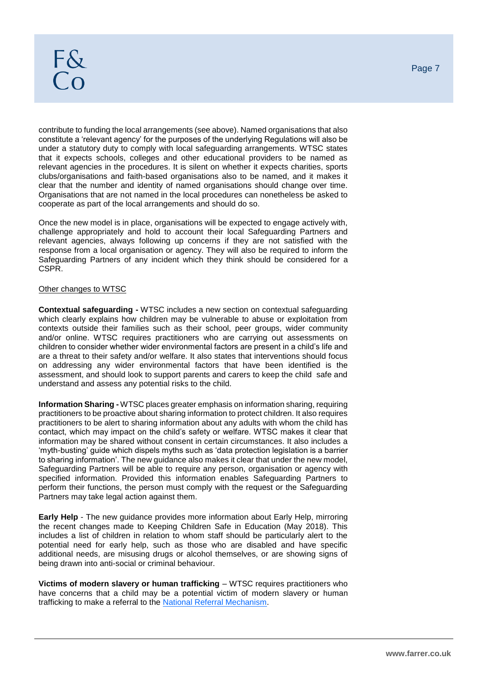contribute to funding the local arrangements (see above). Named organisations that also constitute a 'relevant agency' for the purposes of the underlying Regulations will also be under a statutory duty to comply with local safeguarding arrangements. WTSC states that it expects schools, colleges and other educational providers to be named as relevant agencies in the procedures. It is silent on whether it expects charities, sports clubs/organisations and faith-based organisations also to be named, and it makes it clear that the number and identity of named organisations should change over time. Organisations that are not named in the local procedures can nonetheless be asked to cooperate as part of the local arrangements and should do so.

Once the new model is in place, organisations will be expected to engage actively with, challenge appropriately and hold to account their local Safeguarding Partners and relevant agencies, always following up concerns if they are not satisfied with the response from a local organisation or agency. They will also be required to inform the Safeguarding Partners of any incident which they think should be considered for a CSPR.

#### Other changes to WTSC

**Contextual safeguarding -** WTSC includes a new section on contextual safeguarding which clearly explains how children may be vulnerable to abuse or exploitation from contexts outside their families such as their school, peer groups, wider community and/or online. WTSC requires practitioners who are carrying out assessments on children to consider whether wider environmental factors are present in a child's life and are a threat to their safety and/or welfare. It also states that interventions should focus on addressing any wider environmental factors that have been identified is the assessment, and should look to support parents and carers to keep the child safe and understand and assess any potential risks to the child.

**Information Sharing -** WTSC places greater emphasis on information sharing, requiring practitioners to be proactive about sharing information to protect children. It also requires practitioners to be alert to sharing information about any adults with whom the child has contact, which may impact on the child's safety or welfare. WTSC makes it clear that information may be shared without consent in certain circumstances. It also includes a 'myth-busting' guide which dispels myths such as 'data protection legislation is a barrier to sharing information'. The new guidance also makes it clear that under the new model, Safeguarding Partners will be able to require any person, organisation or agency with specified information. Provided this information enables Safeguarding Partners to perform their functions, the person must comply with the request or the Safeguarding Partners may take legal action against them.

**Early Help** - The new guidance provides more information about Early Help, mirroring the recent changes made to Keeping Children Safe in Education (May 2018). This includes a list of children in relation to whom staff should be particularly alert to the potential need for early help, such as those who are disabled and have specific additional needs, are misusing drugs or alcohol themselves, or are showing signs of being drawn into anti-social or criminal behaviour.

**Victims of modern slavery or human trafficking** – WTSC requires practitioners who have concerns that a child may be a potential victim of modern slavery or human trafficking to make a referral to the [National Referral Mechanism.](http://www.nationalcrimeagency.gov.uk/about-us/what-we-do/specialist-capabilities/uk-human-trafficking-centre/national-referral-mechanism)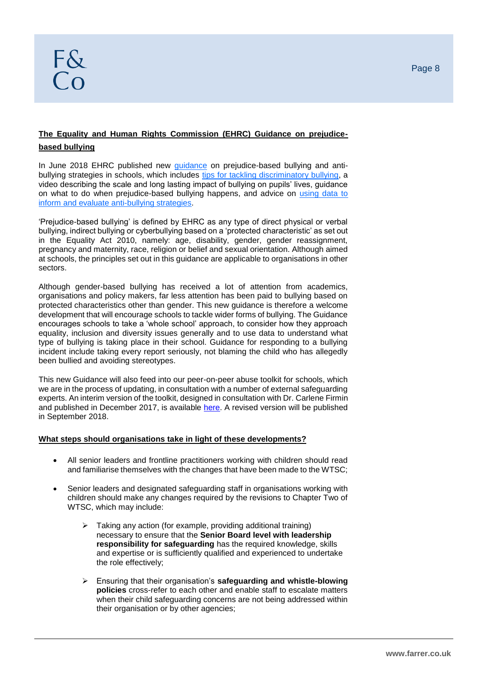#### **The Equality and Human Rights Commission (EHRC) Guidance on prejudicebased bullying**

In June 2018 EHRC published new [guidance](https://www.equalityhumanrights.com/en/advice-and-guidance/how-can-we-stop-prejudice-based-bullying-schools) on prejudice-based bullying and antibullying strategies in schools, which includes [tips for tackling discriminatory bullying,](https://www.equalityhumanrights.com/sites/default/files/tips_for_tackling_discriminatory_bullying.pdf) a video describing the scale and long lasting impact of bullying on pupils' lives, guidance on what to do when prejudice-based bullying happens, and advice on [using data to](https://www.equalityhumanrights.com/sites/default/files/using-data-to-inform-and-evaluate-anti-bullying-strategies.pdf)  [inform and evaluate anti-bullying strategies.](https://www.equalityhumanrights.com/sites/default/files/using-data-to-inform-and-evaluate-anti-bullying-strategies.pdf)

'Prejudice-based bullying' is defined by EHRC as any type of direct physical or verbal bullying, indirect bullying or cyberbullying based on a 'protected characteristic' as set out in the Equality Act 2010, namely: age, disability, gender, gender reassignment, pregnancy and maternity, race, religion or belief and sexual orientation. Although aimed at schools, the principles set out in this guidance are applicable to organisations in other sectors.

Although gender-based bullying has received a lot of attention from academics, organisations and policy makers, far less attention has been paid to bullying based on protected characteristics other than gender. This new guidance is therefore a welcome development that will encourage schools to tackle wider forms of bullying. The Guidance encourages schools to take a 'whole school' approach, to consider how they approach equality, inclusion and diversity issues generally and to use data to understand what type of bullying is taking place in their school. Guidance for responding to a bullying incident include taking every report seriously, not blaming the child who has allegedly been bullied and avoiding stereotypes.

This new Guidance will also feed into our peer-on-peer abuse toolkit for schools, which we are in the process of updating, in consultation with a number of external safeguarding experts. An interim version of the toolkit, designed in consultation with Dr. Carlene Firmin and published in December 2017, is available [here.](https://www.farrer.co.uk/Global/Peer-on-peer%20abuse%20toolkit%2014.pdf) A revised version will be published in September 2018.

#### **What steps should organisations take in light of these developments?**

- All senior leaders and frontline practitioners working with children should read and familiarise themselves with the changes that have been made to the WTSC;
- Senior leaders and designated safeguarding staff in organisations working with children should make any changes required by the revisions to Chapter Two of WTSC, which may include:
	- ➢ Taking any action (for example, providing additional training) necessary to ensure that the **Senior Board level with leadership responsibility for safeguarding** has the required knowledge, skills and expertise or is sufficiently qualified and experienced to undertake the role effectively;
	- ➢ Ensuring that their organisation's **safeguarding and whistle-blowing policies** cross-refer to each other and enable staff to escalate matters when their child safeguarding concerns are not being addressed within their organisation or by other agencies;